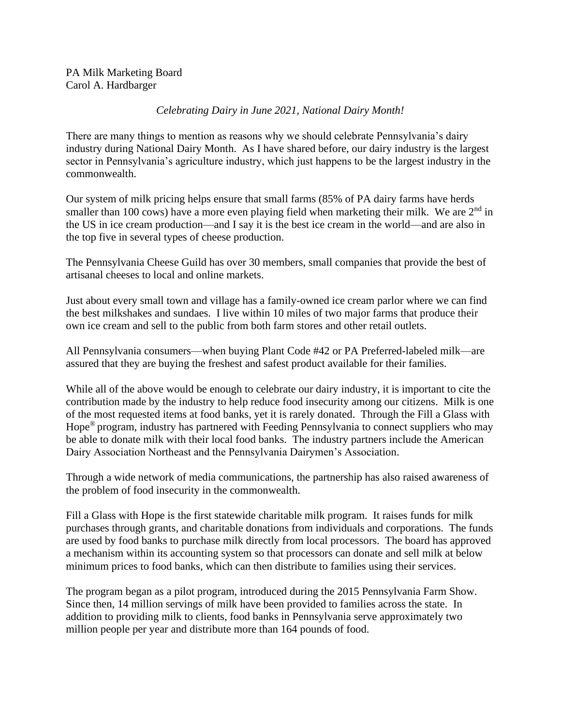## *Celebrating Dairy in June 2021, National Dairy Month!*

There are many things to mention as reasons why we should celebrate Pennsylvania's dairy industry during National Dairy Month. As I have shared before, our dairy industry is the largest sector in Pennsylvania's agriculture industry, which just happens to be the largest industry in the commonwealth.

Our system of milk pricing helps ensure that small farms (85% of PA dairy farms have herds smaller than 100 cows) have a more even playing field when marketing their milk. We are  $2<sup>nd</sup>$  in the US in ice cream production—and I say it is the best ice cream in the world—and are also in the top five in several types of cheese production.

The Pennsylvania Cheese Guild has over 30 members, small companies that provide the best of artisanal cheeses to local and online markets.

Just about every small town and village has a family-owned ice cream parlor where we can find the best milkshakes and sundaes. I live within 10 miles of two major farms that produce their own ice cream and sell to the public from both farm stores and other retail outlets.

All Pennsylvania consumers—when buying Plant Code #42 or PA Preferred-labeled milk—are assured that they are buying the freshest and safest product available for their families.

While all of the above would be enough to celebrate our dairy industry, it is important to cite the contribution made by the industry to help reduce food insecurity among our citizens. Milk is one of the most requested items at food banks, yet it is rarely donated. Through the Fill a Glass with Hope® program, industry has partnered with Feeding Pennsylvania to connect suppliers who may be able to donate milk with their local food banks. The industry partners include the American Dairy Association Northeast and the Pennsylvania Dairymen's Association.

Through a wide network of media communications, the partnership has also raised awareness of the problem of food insecurity in the commonwealth.

Fill a Glass with Hope is the first statewide charitable milk program. It raises funds for milk purchases through grants, and charitable donations from individuals and corporations. The funds are used by food banks to purchase milk directly from local processors. The board has approved a mechanism within its accounting system so that processors can donate and sell milk at below minimum prices to food banks, which can then distribute to families using their services.

The program began as a pilot program, introduced during the 2015 Pennsylvania Farm Show. Since then, 14 million servings of milk have been provided to families across the state. In addition to providing milk to clients, food banks in Pennsylvania serve approximately two million people per year and distribute more than 164 pounds of food.